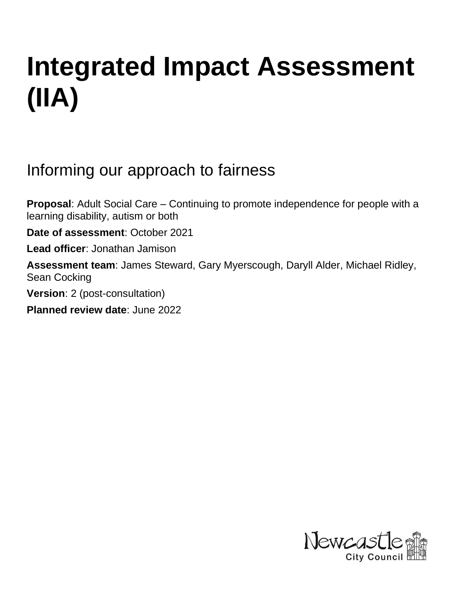# **Integrated Impact Assessment (IIA)**

Informing our approach to fairness

**Proposal**: Adult Social Care – Continuing to promote independence for people with a learning disability, autism or both

**Date of assessment**: October 2021

**Lead officer**: Jonathan Jamison

**Assessment team**: James Steward, Gary Myerscough, Daryll Alder, Michael Ridley, Sean Cocking

**Version**: 2 (post-consultation)

**Planned review date**: June 2022

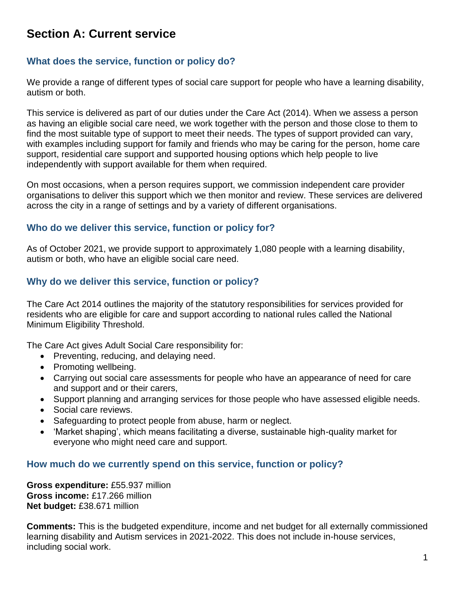# **Section A: Current service**

## **What does the service, function or policy do?**

We provide a range of different types of social care support for people who have a learning disability, autism or both.

This service is delivered as part of our duties under the Care Act (2014). When we assess a person as having an eligible social care need, we work together with the person and those close to them to find the most suitable type of support to meet their needs. The types of support provided can vary, with examples including support for family and friends who may be caring for the person, home care support, residential care support and supported housing options which help people to live independently with support available for them when required.

On most occasions, when a person requires support, we commission independent care provider organisations to deliver this support which we then monitor and review. These services are delivered across the city in a range of settings and by a variety of different organisations.

## **Who do we deliver this service, function or policy for?**

As of October 2021, we provide support to approximately 1,080 people with a learning disability, autism or both, who have an eligible social care need.

## **Why do we deliver this service, function or policy?**

The Care Act 2014 outlines the majority of the statutory responsibilities for services provided for residents who are eligible for care and support according to national rules called the National Minimum Eligibility Threshold.

The Care Act gives Adult Social Care responsibility for:

- Preventing, reducing, and delaying need.
- Promoting wellbeing.
- Carrying out social care assessments for people who have an appearance of need for care and support and or their carers,
- Support planning and arranging services for those people who have assessed eligible needs.
- Social care reviews.
- Safeguarding to protect people from abuse, harm or neglect.
- 'Market shaping', which means facilitating a diverse, sustainable high-quality market for everyone who might need care and support.

## **How much do we currently spend on this service, function or policy?**

**Gross expenditure:** £55.937 million **Gross income:** £17.266 million **Net budget:** £38.671 million

**Comments:** This is the budgeted expenditure, income and net budget for all externally commissioned learning disability and Autism services in 2021-2022. This does not include in-house services, including social work.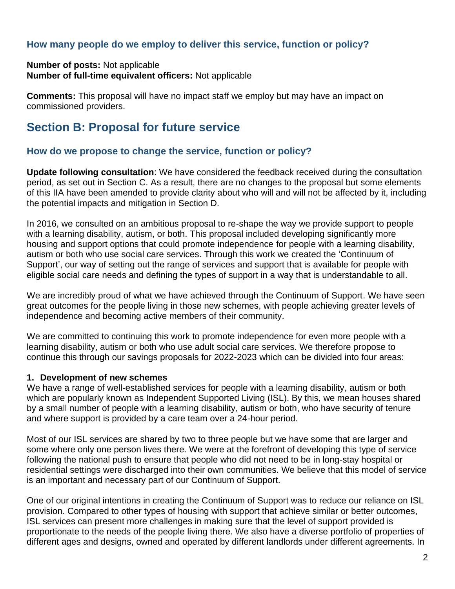## **How many people do we employ to deliver this service, function or policy?**

#### **Number of posts:** Not applicable **Number of full-time equivalent officers:** Not applicable

**Comments:** This proposal will have no impact staff we employ but may have an impact on commissioned providers.

# **Section B: Proposal for future service**

## **How do we propose to change the service, function or policy?**

**Update following consultation**: We have considered the feedback received during the consultation period, as set out in Section C. As a result, there are no changes to the proposal but some elements of this IIA have been amended to provide clarity about who will and will not be affected by it, including the potential impacts and mitigation in Section D.

In 2016, we consulted on an ambitious proposal to re-shape the way we provide support to people with a learning disability, autism, or both. This proposal included developing significantly more housing and support options that could promote independence for people with a learning disability, autism or both who use social care services. Through this work we created the 'Continuum of Support', our way of setting out the range of services and support that is available for people with eligible social care needs and defining the types of support in a way that is understandable to all.

We are incredibly proud of what we have achieved through the Continuum of Support. We have seen great outcomes for the people living in those new schemes, with people achieving greater levels of independence and becoming active members of their community.

We are committed to continuing this work to promote independence for even more people with a learning disability, autism or both who use adult social care services. We therefore propose to continue this through our savings proposals for 2022-2023 which can be divided into four areas:

#### **1. Development of new schemes**

We have a range of well-established services for people with a learning disability, autism or both which are popularly known as Independent Supported Living (ISL). By this, we mean houses shared by a small number of people with a learning disability, autism or both, who have security of tenure and where support is provided by a care team over a 24-hour period.

Most of our ISL services are shared by two to three people but we have some that are larger and some where only one person lives there. We were at the forefront of developing this type of service following the national push to ensure that people who did not need to be in long-stay hospital or residential settings were discharged into their own communities. We believe that this model of service is an important and necessary part of our Continuum of Support.

One of our original intentions in creating the Continuum of Support was to reduce our reliance on ISL provision. Compared to other types of housing with support that achieve similar or better outcomes, ISL services can present more challenges in making sure that the level of support provided is proportionate to the needs of the people living there. We also have a diverse portfolio of properties of different ages and designs, owned and operated by different landlords under different agreements. In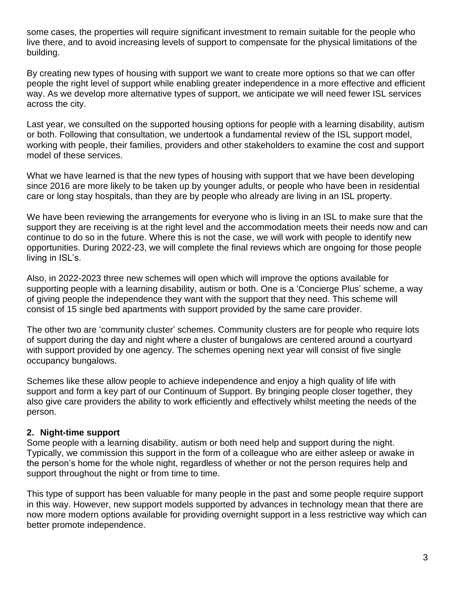some cases, the properties will require significant investment to remain suitable for the people who live there, and to avoid increasing levels of support to compensate for the physical limitations of the building.

By creating new types of housing with support we want to create more options so that we can offer people the right level of support while enabling greater independence in a more effective and efficient way. As we develop more alternative types of support, we anticipate we will need fewer ISL services across the city.

Last year, we consulted on the supported housing options for people with a learning disability, autism or both. Following that consultation, we undertook a fundamental review of the ISL support model, working with people, their families, providers and other stakeholders to examine the cost and support model of these services.

What we have learned is that the new types of housing with support that we have been developing since 2016 are more likely to be taken up by younger adults, or people who have been in residential care or long stay hospitals, than they are by people who already are living in an ISL property.

We have been reviewing the arrangements for everyone who is living in an ISL to make sure that the support they are receiving is at the right level and the accommodation meets their needs now and can continue to do so in the future. Where this is not the case, we will work with people to identify new opportunities. During 2022-23, we will complete the final reviews which are ongoing for those people living in ISL's.

Also, in 2022-2023 three new schemes will open which will improve the options available for supporting people with a learning disability, autism or both. One is a 'Concierge Plus' scheme, a way of giving people the independence they want with the support that they need. This scheme will consist of 15 single bed apartments with support provided by the same care provider.

The other two are 'community cluster' schemes. Community clusters are for people who require lots of support during the day and night where a cluster of bungalows are centered around a courtyard with support provided by one agency. The schemes opening next year will consist of five single occupancy bungalows.

Schemes like these allow people to achieve independence and enjoy a high quality of life with support and form a key part of our Continuum of Support. By bringing people closer together, they also give care providers the ability to work efficiently and effectively whilst meeting the needs of the person.

## **2. Night-time support**

Some people with a learning disability, autism or both need help and support during the night. Typically, we commission this support in the form of a colleague who are either asleep or awake in the person's home for the whole night, regardless of whether or not the person requires help and support throughout the night or from time to time.

This type of support has been valuable for many people in the past and some people require support in this way. However, new support models supported by advances in technology mean that there are now more modern options available for providing overnight support in a less restrictive way which can better promote independence.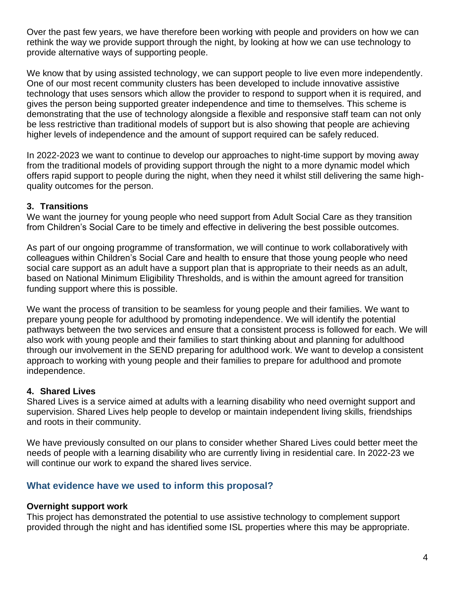Over the past few years, we have therefore been working with people and providers on how we can rethink the way we provide support through the night, by looking at how we can use technology to provide alternative ways of supporting people.

We know that by using assisted technology, we can support people to live even more independently. One of our most recent community clusters has been developed to include innovative assistive technology that uses sensors which allow the provider to respond to support when it is required, and gives the person being supported greater independence and time to themselves. This scheme is demonstrating that the use of technology alongside a flexible and responsive staff team can not only be less restrictive than traditional models of support but is also showing that people are achieving higher levels of independence and the amount of support required can be safely reduced.

In 2022-2023 we want to continue to develop our approaches to night-time support by moving away from the traditional models of providing support through the night to a more dynamic model which offers rapid support to people during the night, when they need it whilst still delivering the same highquality outcomes for the person.

## **3. Transitions**

We want the journey for young people who need support from Adult Social Care as they transition from Children's Social Care to be timely and effective in delivering the best possible outcomes.

As part of our ongoing programme of transformation, we will continue to work collaboratively with colleagues within Children's Social Care and health to ensure that those young people who need social care support as an adult have a support plan that is appropriate to their needs as an adult, based on National Minimum Eligibility Thresholds, and is within the amount agreed for transition funding support where this is possible.

We want the process of transition to be seamless for young people and their families. We want to prepare young people for adulthood by promoting independence. We will identify the potential pathways between the two services and ensure that a consistent process is followed for each. We will also work with young people and their families to start thinking about and planning for adulthood through our involvement in the SEND preparing for adulthood work. We want to develop a consistent approach to working with young people and their families to prepare for adulthood and promote independence.

## **4. Shared Lives**

Shared Lives is a service aimed at adults with a learning disability who need overnight support and supervision. Shared Lives help people to develop or maintain independent living skills, friendships and roots in their community.

We have previously consulted on our plans to consider whether Shared Lives could better meet the needs of people with a learning disability who are currently living in residential care. In 2022-23 we will continue our work to expand the shared lives service.

## **What evidence have we used to inform this proposal?**

#### **Overnight support work**

This project has demonstrated the potential to use assistive technology to complement support provided through the night and has identified some ISL properties where this may be appropriate.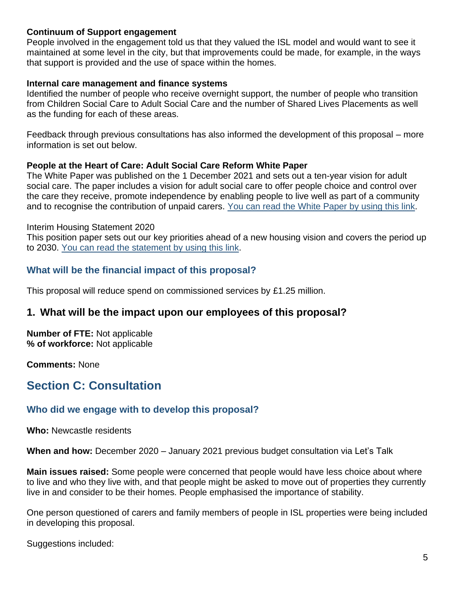#### **Continuum of Support engagement**

People involved in the engagement told us that they valued the ISL model and would want to see it maintained at some level in the city, but that improvements could be made, for example, in the ways that support is provided and the use of space within the homes.

#### **Internal care management and finance systems**

Identified the number of people who receive overnight support, the number of people who transition from Children Social Care to Adult Social Care and the number of Shared Lives Placements as well as the funding for each of these areas.

Feedback through previous consultations has also informed the development of this proposal – more information is set out below.

#### **People at the Heart of Care: Adult Social Care Reform White Paper**

The White Paper was published on the 1 December 2021 and sets out a ten-year vision for adult social care. The paper includes a vision for adult social care to offer people choice and control over the care they receive, promote independence by enabling people to live well as part of a community and to recognise the contribution of unpaid carers. You [can read the White Paper by using this link.](https://www.gov.uk/government/publications/people-at-the-heart-of-care-adult-social-care-reform-white-paper/people-at-the-heart-of-care-adult-social-care-reform)

#### Interim Housing Statement 2020

This position paper sets out our key priorities ahead of a new housing vision and covers the period up to 2030. [You can read the statement by using this link.](https://www.newcastle.gov.uk/sites/default/files/2021-02/Interim%20Housing%20Statement%202020.pdf)

## **What will be the financial impact of this proposal?**

This proposal will reduce spend on commissioned services by £1.25 million.

## **1. What will be the impact upon our employees of this proposal?**

**Number of FTE:** Not applicable **% of workforce:** Not applicable

**Comments:** None

# **Section C: Consultation**

## **Who did we engage with to develop this proposal?**

**Who:** Newcastle residents

**When and how:** December 2020 – January 2021 previous budget consultation via Let's Talk

**Main issues raised:** Some people were concerned that people would have less choice about where to live and who they live with, and that people might be asked to move out of properties they currently live in and consider to be their homes. People emphasised the importance of stability.

One person questioned of carers and family members of people in ISL properties were being included in developing this proposal.

Suggestions included: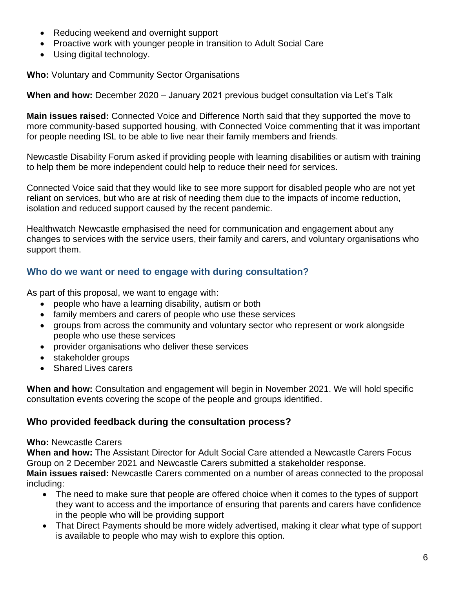- Reducing weekend and overnight support
- Proactive work with younger people in transition to Adult Social Care
- Using digital technology.

**Who:** Voluntary and Community Sector Organisations

**When and how:** December 2020 – January 2021 previous budget consultation via Let's Talk

**Main issues raised:** Connected Voice and Difference North said that they supported the move to more community-based supported housing, with Connected Voice commenting that it was important for people needing ISL to be able to live near their family members and friends.

Newcastle Disability Forum asked if providing people with learning disabilities or autism with training to help them be more independent could help to reduce their need for services.

Connected Voice said that they would like to see more support for disabled people who are not yet reliant on services, but who are at risk of needing them due to the impacts of income reduction, isolation and reduced support caused by the recent pandemic.

Healthwatch Newcastle emphasised the need for communication and engagement about any changes to services with the service users, their family and carers, and voluntary organisations who support them.

## **Who do we want or need to engage with during consultation?**

As part of this proposal, we want to engage with:

- people who have a learning disability, autism or both
- family members and carers of people who use these services
- groups from across the community and voluntary sector who represent or work alongside people who use these services
- provider organisations who deliver these services
- stakeholder groups
- Shared Lives carers

**When and how:** Consultation and engagement will begin in November 2021. We will hold specific consultation events covering the scope of the people and groups identified.

## **Who provided feedback during the consultation process?**

#### **Who:** Newcastle Carers

**When and how:** The Assistant Director for Adult Social Care attended a Newcastle Carers Focus Group on 2 December 2021 and Newcastle Carers submitted a stakeholder response.

**Main issues raised:** Newcastle Carers commented on a number of areas connected to the proposal including:

- The need to make sure that people are offered choice when it comes to the types of support they want to access and the importance of ensuring that parents and carers have confidence in the people who will be providing support
- That Direct Payments should be more widely advertised, making it clear what type of support is available to people who may wish to explore this option.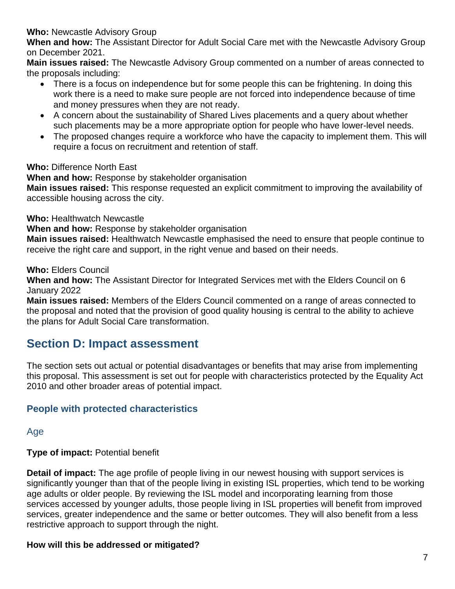## **Who:** Newcastle Advisory Group

**When and how:** The Assistant Director for Adult Social Care met with the Newcastle Advisory Group on December 2021.

**Main issues raised:** The Newcastle Advisory Group commented on a number of areas connected to the proposals including:

- There is a focus on independence but for some people this can be frightening. In doing this work there is a need to make sure people are not forced into independence because of time and money pressures when they are not ready.
- A concern about the sustainability of Shared Lives placements and a query about whether such placements may be a more appropriate option for people who have lower-level needs.
- The proposed changes require a workforce who have the capacity to implement them. This will require a focus on recruitment and retention of staff.

## **Who:** Difference North East

**When and how:** Response by stakeholder organisation

**Main issues raised:** This response requested an explicit commitment to improving the availability of accessible housing across the city.

**Who:** Healthwatch Newcastle

**When and how:** Response by stakeholder organisation

**Main issues raised:** Healthwatch Newcastle emphasised the need to ensure that people continue to receive the right care and support, in the right venue and based on their needs.

**Who:** Elders Council

**When and how:** The Assistant Director for Integrated Services met with the Elders Council on 6 January 2022

**Main issues raised:** Members of the Elders Council commented on a range of areas connected to the proposal and noted that the provision of good quality housing is central to the ability to achieve the plans for Adult Social Care transformation.

## **Section D: Impact assessment**

The section sets out actual or potential disadvantages or benefits that may arise from implementing this proposal. This assessment is set out for people with characteristics protected by the Equality Act 2010 and other broader areas of potential impact.

## **People with protected characteristics**

Age

**Type of impact:** Potential benefit

**Detail of impact:** The age profile of people living in our newest housing with support services is significantly younger than that of the people living in existing ISL properties, which tend to be working age adults or older people. By reviewing the ISL model and incorporating learning from those services accessed by younger adults, those people living in ISL properties will benefit from improved services, greater independence and the same or better outcomes. They will also benefit from a less restrictive approach to support through the night.

## **How will this be addressed or mitigated?**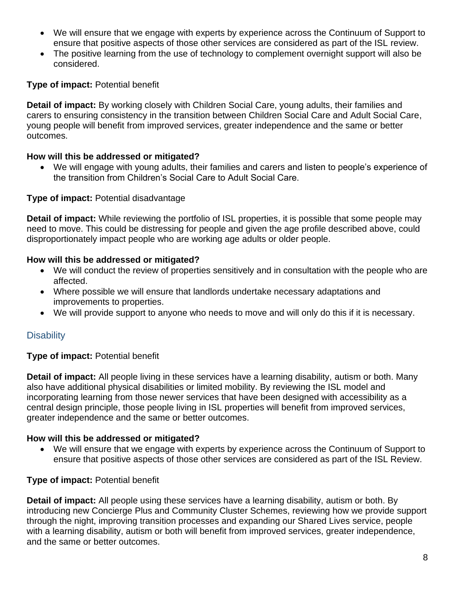- We will ensure that we engage with experts by experience across the Continuum of Support to ensure that positive aspects of those other services are considered as part of the ISL review.
- The positive learning from the use of technology to complement overnight support will also be considered.

## **Type of impact:** Potential benefit

**Detail of impact:** By working closely with Children Social Care, young adults, their families and carers to ensuring consistency in the transition between Children Social Care and Adult Social Care, young people will benefit from improved services, greater independence and the same or better outcomes.

## **How will this be addressed or mitigated?**

• We will engage with young adults, their families and carers and listen to people's experience of the transition from Children's Social Care to Adult Social Care.

## **Type of impact:** Potential disadvantage

**Detail of impact:** While reviewing the portfolio of ISL properties, it is possible that some people may need to move. This could be distressing for people and given the age profile described above, could disproportionately impact people who are working age adults or older people.

## **How will this be addressed or mitigated?**

- We will conduct the review of properties sensitively and in consultation with the people who are affected.
- Where possible we will ensure that landlords undertake necessary adaptations and improvements to properties.
- We will provide support to anyone who needs to move and will only do this if it is necessary.

## **Disability**

## **Type of impact:** Potential benefit

**Detail of impact:** All people living in these services have a learning disability, autism or both. Many also have additional physical disabilities or limited mobility. By reviewing the ISL model and incorporating learning from those newer services that have been designed with accessibility as a central design principle, those people living in ISL properties will benefit from improved services, greater independence and the same or better outcomes.

## **How will this be addressed or mitigated?**

• We will ensure that we engage with experts by experience across the Continuum of Support to ensure that positive aspects of those other services are considered as part of the ISL Review.

## **Type of impact:** Potential benefit

**Detail of impact:** All people using these services have a learning disability, autism or both. By introducing new Concierge Plus and Community Cluster Schemes, reviewing how we provide support through the night, improving transition processes and expanding our Shared Lives service, people with a learning disability, autism or both will benefit from improved services, greater independence, and the same or better outcomes.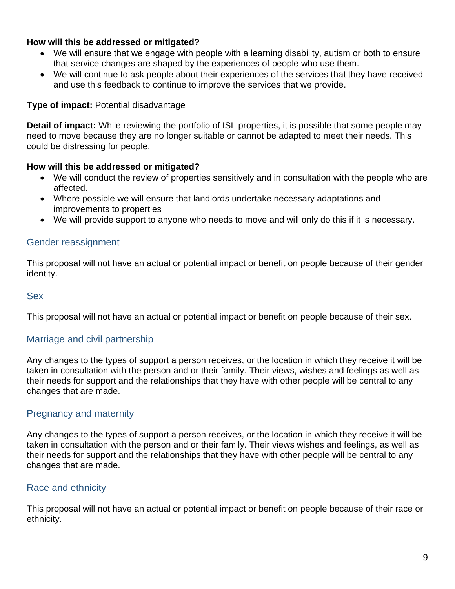## **How will this be addressed or mitigated?**

- We will ensure that we engage with people with a learning disability, autism or both to ensure that service changes are shaped by the experiences of people who use them.
- We will continue to ask people about their experiences of the services that they have received and use this feedback to continue to improve the services that we provide.

#### **Type of impact:** Potential disadvantage

**Detail of impact:** While reviewing the portfolio of ISL properties, it is possible that some people may need to move because they are no longer suitable or cannot be adapted to meet their needs. This could be distressing for people.

#### **How will this be addressed or mitigated?**

- We will conduct the review of properties sensitively and in consultation with the people who are affected.
- Where possible we will ensure that landlords undertake necessary adaptations and improvements to properties
- We will provide support to anyone who needs to move and will only do this if it is necessary.

## Gender reassignment

This proposal will not have an actual or potential impact or benefit on people because of their gender identity.

#### Sex

This proposal will not have an actual or potential impact or benefit on people because of their sex.

## Marriage and civil partnership

Any changes to the types of support a person receives, or the location in which they receive it will be taken in consultation with the person and or their family. Their views, wishes and feelings as well as their needs for support and the relationships that they have with other people will be central to any changes that are made.

## Pregnancy and maternity

Any changes to the types of support a person receives, or the location in which they receive it will be taken in consultation with the person and or their family. Their views wishes and feelings, as well as their needs for support and the relationships that they have with other people will be central to any changes that are made.

## Race and ethnicity

This proposal will not have an actual or potential impact or benefit on people because of their race or ethnicity.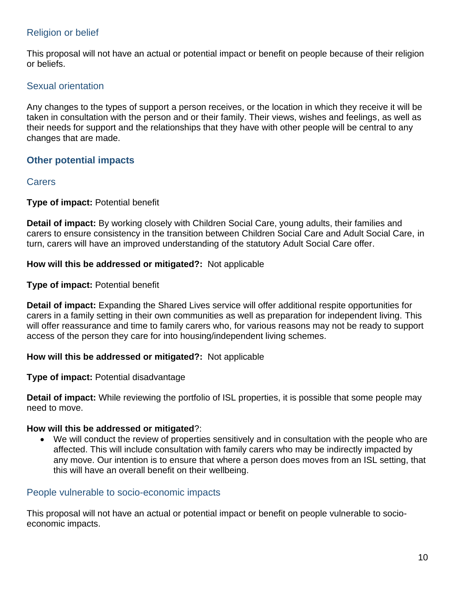## Religion or belief

This proposal will not have an actual or potential impact or benefit on people because of their religion or beliefs.

## Sexual orientation

Any changes to the types of support a person receives, or the location in which they receive it will be taken in consultation with the person and or their family. Their views, wishes and feelings, as well as their needs for support and the relationships that they have with other people will be central to any changes that are made.

## **Other potential impacts**

## **Carers**

#### **Type of impact:** Potential benefit

**Detail of impact:** By working closely with Children Social Care, young adults, their families and carers to ensure consistency in the transition between Children Social Care and Adult Social Care, in turn, carers will have an improved understanding of the statutory Adult Social Care offer.

#### **How will this be addressed or mitigated?:** Not applicable

#### **Type of impact:** Potential benefit

**Detail of impact:** Expanding the Shared Lives service will offer additional respite opportunities for carers in a family setting in their own communities as well as preparation for independent living. This will offer reassurance and time to family carers who, for various reasons may not be ready to support access of the person they care for into housing/independent living schemes.

#### **How will this be addressed or mitigated?:** Not applicable

#### **Type of impact:** Potential disadvantage

**Detail of impact:** While reviewing the portfolio of ISL properties, it is possible that some people may need to move.

#### **How will this be addressed or mitigated**?:

• We will conduct the review of properties sensitively and in consultation with the people who are affected. This will include consultation with family carers who may be indirectly impacted by any move. Our intention is to ensure that where a person does moves from an ISL setting, that this will have an overall benefit on their wellbeing.

## People vulnerable to socio-economic impacts

This proposal will not have an actual or potential impact or benefit on people vulnerable to socioeconomic impacts.